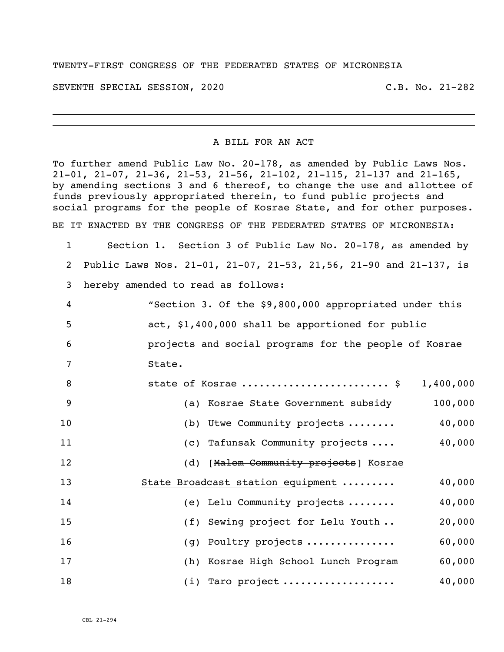## TWENTY-FIRST CONGRESS OF THE FEDERATED STATES OF MICRONESIA

SEVENTH SPECIAL SESSION, 2020 C.B. No. 21-282

## A BILL FOR AN ACT

To further amend Public Law No. 20-178, as amended by Public Laws Nos. 21-01, 21-07, 21-36, 21-53, 21-56, 21-102, 21-115, 21-137 and 21-165, by amending sections 3 and 6 thereof, to change the use and allottee of funds previously appropriated therein, to fund public projects and social programs for the people of Kosrae State, and for other purposes. BE IT ENACTED BY THE CONGRESS OF THE FEDERATED STATES OF MICRONESIA:

 Section 1. Section 3 of Public Law No. 20-178, as amended by Public Laws Nos. 21-01, 21-07, 21-53, 21,56, 21-90 and 21-137, is hereby amended to read as follows:

|     | "Section 3. Of the \$9,800,000 appropriated under this |
|-----|--------------------------------------------------------|
| -5  | act, \$1,400,000 shall be apportioned for public       |
| - 6 | projects and social programs for the people of Kosrae  |
|     | State.                                                 |

| -8 | state of Kosrae  \$                   | 1,400,000 |
|----|---------------------------------------|-----------|
| 9  | (a) Kosrae State Government subsidy   | 100,000   |
| 10 | (b) Utwe Community projects           | 40,000    |
| 11 | (c) Tafunsak Community projects       | 40,000    |
| 12 | (d) [Malem Community projects] Kosrae |           |
| 13 | State Broadcast station equipment     | 40,000    |
| 14 | (e) Lelu Community projects           | 40,000    |
| 15 | (f) Sewing project for Lelu Youth     | 20,000    |
| 16 | (g) Poultry projects                  | 60,000    |
| 17 | (h) Kosrae High School Lunch Program  | 60,000    |
| 18 | $(i)$ Taro project                    | 40,000    |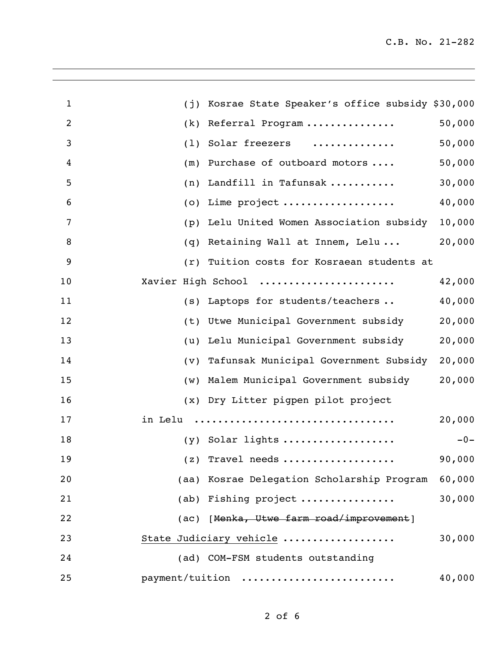| $\mathbf{1}$   | (j)     | Kosrae State Speaker's office subsidy \$30,000 |        |
|----------------|---------|------------------------------------------------|--------|
| $\overline{2}$ | (k)     | Referral Program                               | 50,000 |
| 3              | (1)     | Solar freezers<br>.                            | 50,000 |
| 4              | (m)     | Purchase of outboard motors                    | 50,000 |
| 5              | (n)     | Landfill in Tafunsak                           | 30,000 |
| 6              | (0)     | Lime project                                   | 40,000 |
| 7              | (p)     | Lelu United Women Association subsidy          | 10,000 |
| 8              | (q)     | Retaining Wall at Innem, Lelu                  | 20,000 |
| 9              | (r)     | Tuition costs for Kosraean students at         |        |
| 10             |         | Xavier High School                             | 42,000 |
| 11             | (S)     | Laptops for students/teachers                  | 40,000 |
| 12             | (t)     | Utwe Municipal Government subsidy              | 20,000 |
| 13             | (u)     | Lelu Municipal Government subsidy              | 20,000 |
| 14             | (v)     | Tafunsak Municipal Government Subsidy          | 20,000 |
| 15             | (w)     | Malem Municipal Government subsidy             | 20,000 |
| 16             | (x)     | Dry Litter pigpen pilot project                |        |
| 17             | in Lelu |                                                | 20,000 |
| 18             |         | (y) Solar lights                               | $-0-$  |
| 19             |         | $(z)$ Travel needs                             | 90,000 |
| 20             |         | (aa) Kosrae Delegation Scholarship Program     | 60,000 |
| 21             |         | (ab) Fishing project                           | 30,000 |
| 22             |         | (ac) [Menka, Utwe farm road/improvement]       |        |
| 23             |         | State Judiciary vehicle                        | 30,000 |
| 24             |         | (ad) COM-FSM students outstanding              |        |
| 25             |         | payment/tuition                                | 40,000 |
|                |         |                                                |        |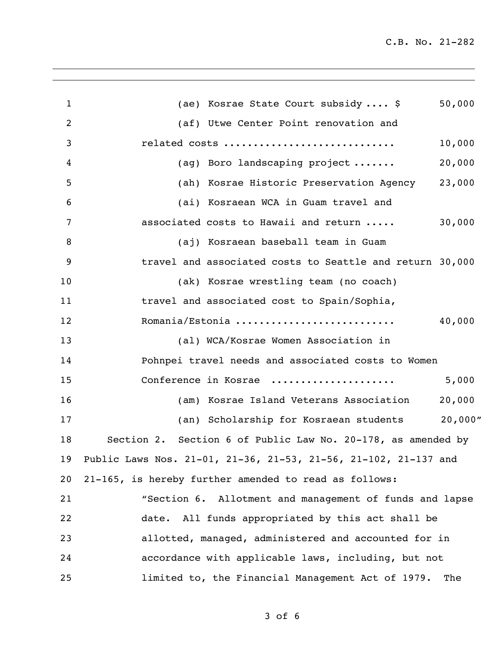C.B. No. 21-282

| 1  | (ae) Kosrae State Court subsidy  \$                                | 50,000 |
|----|--------------------------------------------------------------------|--------|
| 2  | (af) Utwe Center Point renovation and                              |        |
| 3  | related costs                                                      | 10,000 |
| 4  | (ag) Boro landscaping project                                      | 20,000 |
| 5  | (ah) Kosrae Historic Preservation Agency 23,000                    |        |
| 6  | (ai) Kosraean WCA in Guam travel and                               |        |
| 7  | associated costs to Hawaii and return                              | 30,000 |
| 8  | (aj) Kosraean baseball team in Guam                                |        |
| 9  | travel and associated costs to Seattle and return 30,000           |        |
| 10 | (ak) Kosrae wrestling team (no coach)                              |        |
| 11 | travel and associated cost to Spain/Sophia,                        |        |
| 12 | Romania/Estonia                                                    | 40,000 |
| 13 | (al) WCA/Kosrae Women Association in                               |        |
| 14 | Pohnpei travel needs and associated costs to Women                 |        |
| 15 | Conference in Kosrae                                               | 5,000  |
| 16 | (am) Kosrae Island Veterans Association                            | 20,000 |
| 17 | (an) Scholarship for Kosraean students 20,000"                     |        |
| 18 | Section 2. Section 6 of Public Law No. 20-178, as amended by       |        |
|    | 19 Public Laws Nos. 21-01, 21-36, 21-53, 21-56, 21-102, 21-137 and |        |
| 20 | 21-165, is hereby further amended to read as follows:              |        |
| 21 | "Section 6. Allotment and management of funds and lapse            |        |
| 22 | date. All funds appropriated by this act shall be                  |        |
| 23 | allotted, managed, administered and accounted for in               |        |
| 24 | accordance with applicable laws, including, but not                |        |
| 25 | limited to, the Financial Management Act of 1979.                  | The    |

of 6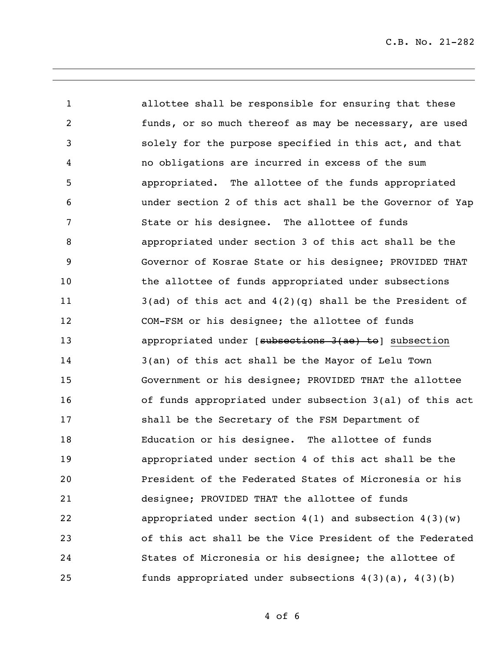C.B. No. 21-282

 allottee shall be responsible for ensuring that these funds, or so much thereof as may be necessary, are used solely for the purpose specified in this act, and that no obligations are incurred in excess of the sum appropriated. The allottee of the funds appropriated under section 2 of this act shall be the Governor of Yap State or his designee. The allottee of funds appropriated under section 3 of this act shall be the Governor of Kosrae State or his designee; PROVIDED THAT 10 the allottee of funds appropriated under subsections  $3(ad)$  of this act and  $4(2)(q)$  shall be the President of COM-FSM or his designee; the allottee of funds **appropriated under [subsections 3(ae) to**] subsection 3(an) of this act shall be the Mayor of Lelu Town Government or his designee; PROVIDED THAT the allottee of funds appropriated under subsection 3(al) of this act shall be the Secretary of the FSM Department of Education or his designee. The allottee of funds appropriated under section 4 of this act shall be the President of the Federated States of Micronesia or his designee; PROVIDED THAT the allottee of funds appropriated under section 4(1) and subsection 4(3)(w) of this act shall be the Vice President of the Federated States of Micronesia or his designee; the allottee of funds appropriated under subsections 4(3)(a), 4(3)(b)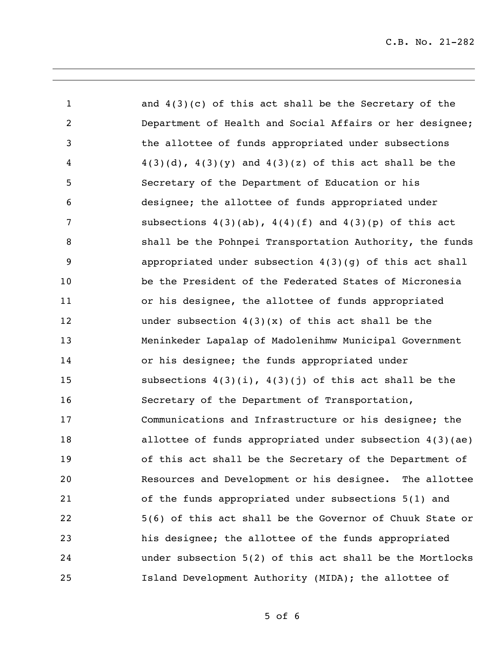and 4(3)(c) of this act shall be the Secretary of the Department of Health and Social Affairs or her designee; the allottee of funds appropriated under subsections 4 4(3)(d),  $4(3)(y)$  and  $4(3)(z)$  of this act shall be the Secretary of the Department of Education or his designee; the allottee of funds appropriated under subsections 4(3)(ab), 4(4)(f) and 4(3)(p) of this act shall be the Pohnpei Transportation Authority, the funds appropriated under subsection 4(3)(g) of this act shall be the President of the Federated States of Micronesia or his designee, the allottee of funds appropriated under subsection 4(3)(x) of this act shall be the Meninkeder Lapalap of Madolenihmw Municipal Government or his designee; the funds appropriated under subsections 4(3)(i), 4(3)(j) of this act shall be the Secretary of the Department of Transportation, Communications and Infrastructure or his designee; the allottee of funds appropriated under subsection 4(3)(ae) of this act shall be the Secretary of the Department of Resources and Development or his designee. The allottee of the funds appropriated under subsections 5(1) and 5(6) of this act shall be the Governor of Chuuk State or his designee; the allottee of the funds appropriated under subsection 5(2) of this act shall be the Mortlocks Island Development Authority (MIDA); the allottee of